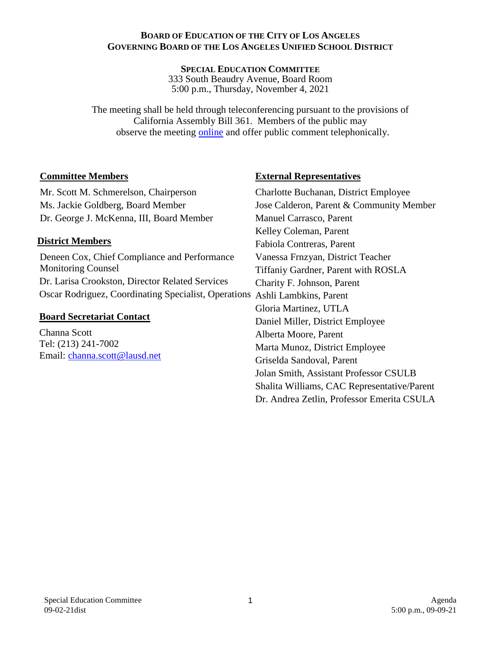#### **BOARD OF EDUCATION OF THE CITY OF LOS ANGELES GOVERNING BOARD OF THE LOS ANGELES UNIFIED SCHOOL DISTRICT**

**SPECIAL EDUCATION COMMITTEE**  333 South Beaudry Avenue, Board Room 5:00 p.m., Thursday, November 4, 2021

The meeting shall be held through teleconferencing pursuant to the provisions of California Assembly Bill 361. Members of the public may observe the meeting [online](http://lausd.granicus.com/player/camera/4?publish_id=18&redirect=true) and offer public comment telephonically.

### **Committee Members**

Mr. Scott M. Schmerelson, Chairperson Ms. Jackie Goldberg, Board Member Dr. George J. McKenna, III, Board Member

## **District Members**

Deneen Cox, Chief Compliance and Performance Monitoring Counsel Dr. Larisa Crookston, Director Related Services Oscar Rodriguez, Coordinating Specialist, Operations Ashli Lambkins, Parent

### **Board Secretariat Contact**

Channa Scott Tel: (213) 241-7002 Email: [channa.scott@lausd.net](mailto:channa.scott@lausd.net)

## **External Representatives**

Charlotte Buchanan, District Employee Jose Calderon, Parent & Community Member Manuel Carrasco, Parent Kelley Coleman, Parent Fabiola Contreras, Parent Vanessa Frnzyan, District Teacher Tiffaniy Gardner, Parent with ROSLA Charity F. Johnson, Parent Gloria Martinez, UTLA Daniel Miller, District Employee Alberta Moore, Parent Marta Munoz, District Employee Griselda Sandoval, Parent Jolan Smith, Assistant Professor CSULB Shalita Williams, CAC Representative/Parent Dr. Andrea Zetlin, Professor Emerita CSULA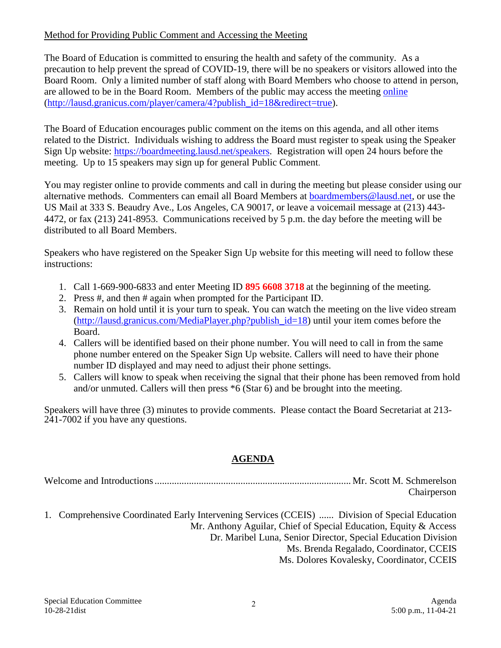# Method for Providing Public Comment and Accessing the Meeting

The Board of Education is committed to ensuring the health and safety of the community. As a precaution to help prevent the spread of COVID-19, there will be no speakers or visitors allowed into the Board Room. Only a limited number of staff along with Board Members who choose to attend in person, are allowed to be in the Board Room. Members of the public may access the meeting [online](http://lausd.granicus.com/player/camera/4?publish_id=18&redirect=true) [\(http://lausd.granicus.com/player/camera/4?publish\\_id=18&redirect=true\)](http://lausd.granicus.com/player/camera/4?publish_id=18&redirect=true).

The Board of Education encourages public comment on the items on this agenda, and all other items related to the District. Individuals wishing to address the Board must register to speak using the Speaker Sign Up website: [https://boardmeeting.lausd.net/speakers.](https://boardmeeting.lausd.net/speakers) Registration will open 24 hours before the meeting. Up to 15 speakers may sign up for general Public Comment.

You may register online to provide comments and call in during the meeting but please consider using our alternative methods. Commenters can email all Board Members at [boardmembers@lausd.net,](mailto:boardmembers@lausd.net) or use the US Mail at 333 S. Beaudry Ave., Los Angeles, CA 90017, or leave a voicemail message at (213) 443- 4472, or fax (213) 241-8953. Communications received by 5 p.m. the day before the meeting will be distributed to all Board Members.

Speakers who have registered on the Speaker Sign Up website for this meeting will need to follow these instructions:

- 1. Call 1-669-900-6833 and enter Meeting ID **895 6608 3718** at the beginning of the meeting.
- 2. Press #, and then # again when prompted for the Participant ID.
- 3. Remain on hold until it is your turn to speak. You can watch the meeting on the live video stream [\(http://lausd.granicus.com/MediaPlayer.php?publish\\_id=18\)](http://lausd.granicus.com/MediaPlayer.php?publish_id=18) until your item comes before the Board.
- 4. Callers will be identified based on their phone number. You will need to call in from the same phone number entered on the Speaker Sign Up website. Callers will need to have their phone number ID displayed and may need to adjust their phone settings.
- 5. Callers will know to speak when receiving the signal that their phone has been removed from hold and/or unmuted. Callers will then press \*6 (Star 6) and be brought into the meeting.

Speakers will have three (3) minutes to provide comments. Please contact the Board Secretariat at 213- 241-7002 if you have any questions.

# **AGENDA**

Welcome and Introductions................................................................................ Mr. Scott M. Schmerelson Chairperson

1. Comprehensive Coordinated Early Intervening Services (CCEIS) ...... Division of Special Education Mr. Anthony Aguilar, Chief of Special Education, Equity & Access Dr. Maribel Luna, Senior Director, Special Education Division Ms. Brenda Regalado, Coordinator, CCEIS Ms. Dolores Kovalesky, Coordinator, CCEIS